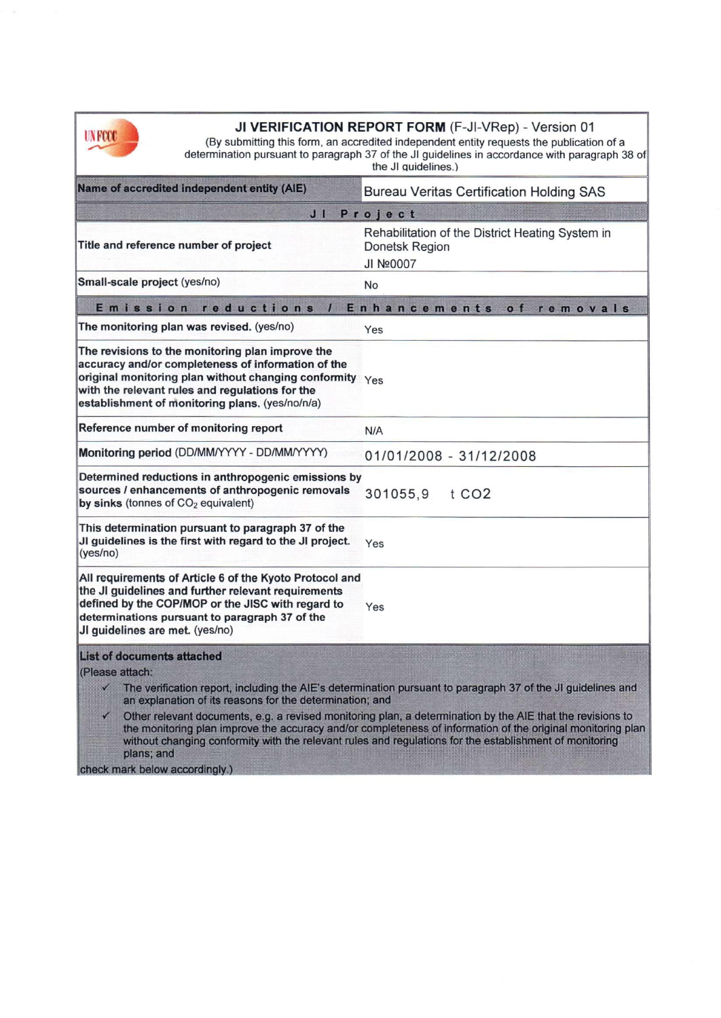

 $|$ cheo

| IN YKK)                                                                                                                                                                                                                                                                                 |                                                                        | JI VERIFICATION REPORT FORM (F-JI-VRep) - Version 01<br>(By submitting this form, an accredited independent entity requests the publication of a<br>determination pursuant to paragraph 37 of the JI guidelines in accordance with paragraph 38 of<br>the JI quidelines.)                                                                                                                                                                                         |
|-----------------------------------------------------------------------------------------------------------------------------------------------------------------------------------------------------------------------------------------------------------------------------------------|------------------------------------------------------------------------|-------------------------------------------------------------------------------------------------------------------------------------------------------------------------------------------------------------------------------------------------------------------------------------------------------------------------------------------------------------------------------------------------------------------------------------------------------------------|
|                                                                                                                                                                                                                                                                                         | Name of accredited independent entity (AIE)                            | <b>Bureau Veritas Certification Holding SAS</b>                                                                                                                                                                                                                                                                                                                                                                                                                   |
| JI<br>Project                                                                                                                                                                                                                                                                           |                                                                        |                                                                                                                                                                                                                                                                                                                                                                                                                                                                   |
|                                                                                                                                                                                                                                                                                         | Title and reference number of project                                  | Rehabilitation of the District Heating System in<br>Donetsk Region<br>JI Nº0007                                                                                                                                                                                                                                                                                                                                                                                   |
|                                                                                                                                                                                                                                                                                         | Small-scale project (yes/no)                                           | No                                                                                                                                                                                                                                                                                                                                                                                                                                                                |
| Emission reductions<br>Enhancements of<br>removals                                                                                                                                                                                                                                      |                                                                        |                                                                                                                                                                                                                                                                                                                                                                                                                                                                   |
|                                                                                                                                                                                                                                                                                         | The monitoring plan was revised. (yes/no)                              | Yes                                                                                                                                                                                                                                                                                                                                                                                                                                                               |
| The revisions to the monitoring plan improve the<br>accuracy and/or completeness of information of the<br>original monitoring plan without changing conformity $\gamma_{\rm e s}$<br>with the relevant rules and regulations for the<br>establishment of monitoring plans. (yes/no/n/a) |                                                                        |                                                                                                                                                                                                                                                                                                                                                                                                                                                                   |
|                                                                                                                                                                                                                                                                                         | Reference number of monitoring report                                  | N/A                                                                                                                                                                                                                                                                                                                                                                                                                                                               |
|                                                                                                                                                                                                                                                                                         | Monitoring period (DD/MM/YYYY - DD/MM/YYYY)                            | 01/01/2008 - 31/12/2008                                                                                                                                                                                                                                                                                                                                                                                                                                           |
| Determined reductions in anthropogenic emissions by<br>sources / enhancements of anthropogenic removals<br>by sinks (tonnes of CO <sub>2</sub> equivalent)                                                                                                                              |                                                                        | t CO <sub>2</sub><br>301055,9                                                                                                                                                                                                                                                                                                                                                                                                                                     |
| This determination pursuant to paragraph 37 of the<br>JI guidelines is the first with regard to the JI project.<br>(yes/no)                                                                                                                                                             |                                                                        | Yes                                                                                                                                                                                                                                                                                                                                                                                                                                                               |
| All requirements of Article 6 of the Kyoto Protocol and<br>the JI guidelines and further relevant requirements<br>defined by the COP/MOP or the JISC with regard to<br>determinations pursuant to paragraph 37 of the<br>JI guidelines are met. (yes/no)                                |                                                                        | Yes                                                                                                                                                                                                                                                                                                                                                                                                                                                               |
|                                                                                                                                                                                                                                                                                         | <b>List of documents attached</b>                                      |                                                                                                                                                                                                                                                                                                                                                                                                                                                                   |
| (Please attach:<br>$\checkmark$                                                                                                                                                                                                                                                         | an explanation of its reasons for the determination; and<br>plans; and | $\checkmark$ The verification report, including the AIE's determination pursuant to paragraph 37 of the JI guidelines and<br>Other relevant documents, e.g. a revised monitoring plan, a determination by the AIE that the revisions to<br>the monitoring plan improve the accuracy and/or completeness of information of the original monitoring plan<br>without changing conformity with the relevant rules and regulations for the establishment of monitoring |
|                                                                                                                                                                                                                                                                                         | check mark below accordingly.)                                         |                                                                                                                                                                                                                                                                                                                                                                                                                                                                   |